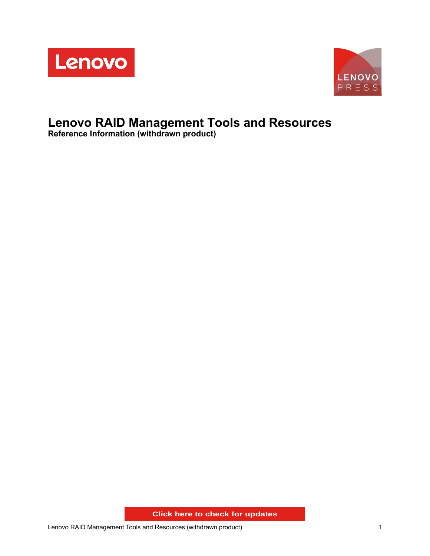



# **Lenovo RAID Management Tools and Resources**

**Reference Information (withdrawn product)**

**Click here to check for updates**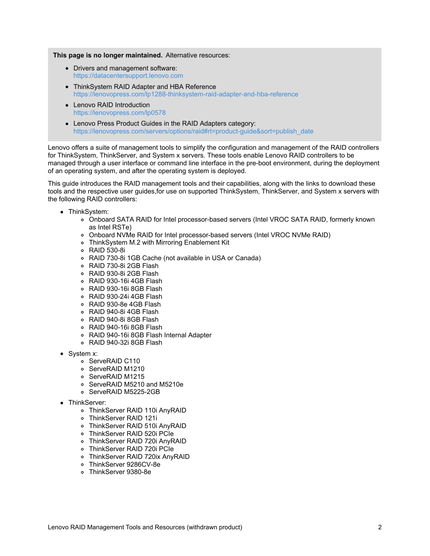**This page is no longer maintained.** Alternative resources:

- Drivers and management software: <https://datacentersupport.lenovo.com>
- ThinkSystem RAID Adapter and HBA Reference <https://lenovopress.com/lp1288-thinksystem-raid-adapter-and-hba-reference>
- Lenovo RAID Introduction <https://lenovopress.com/lp0578>
- Lenovo Press Product Guides in the RAID Adapters category: [https://lenovopress.com/servers/options/raid#rt=product-guide&sort=publish\\_date](https://lenovopress.com/servers/options/raid#rt=product-guide&sort=publish_date)

Lenovo offers a suite of management tools to simplify the configuration and management of the RAID controllers for ThinkSystem, ThinkServer, and System x servers. These tools enable Lenovo RAID controllers to be managed through a user interface or command line interface in the pre-boot environment, during the deployment of an operating system, and after the operating system is deployed.

This guide introduces the RAID management tools and their capabilities, along with the links to download these tools and the respective user guides,for use on supported ThinkSystem, ThinkServer, and System x servers with the following RAID controllers:

- ThinkSystem:
	- Onboard SATA RAID for Intel processor-based servers (Intel VROC SATA RAID, formerly known as Intel RSTe)
	- Onboard NVMe RAID for Intel processor-based servers (Intel VROC NVMe RAID)
	- ThinkSystem M.2 with Mirroring Enablement Kit
	- RAID 530-8i
	- RAID 730-8i 1GB Cache (not available in USA or Canada)
	- RAID 730-8i 2GB Flash
	- RAID 930-8i 2GB Flash
	- RAID 930-16i 4GB Flash
	- RAID 930-16i 8GB Flash
	- RAID 930-24i 4GB Flash
	- RAID 930-8e 4GB Flash
	- RAID 940-8i 4GB Flash
	- RAID 940-8i 8GB Flash
	- RAID 940-16i 8GB Flash
	- RAID 940-16i 8GB Flash Internal Adapter
	- RAID 940-32i 8GB Flash
- System x:
	- o ServeRAID C110
	- o ServeRAID M1210
	- o ServeRAID M1215
	- ServeRAID M5210 and M5210e
	- o ServeRAID M5225-2GB
- ThinkServer:
	- ThinkServer RAID 110i AnyRAID
	- ThinkServer RAID 121i
	- ThinkServer RAID 510i AnyRAID
	- ThinkServer RAID 520i PCIe
	- ThinkServer RAID 720i AnyRAID
	- ThinkServer RAID 720i PCIe
	- ThinkServer RAID 720ix AnyRAID
	- ThinkServer 9286CV-8e
	- ThinkServer 9380-8e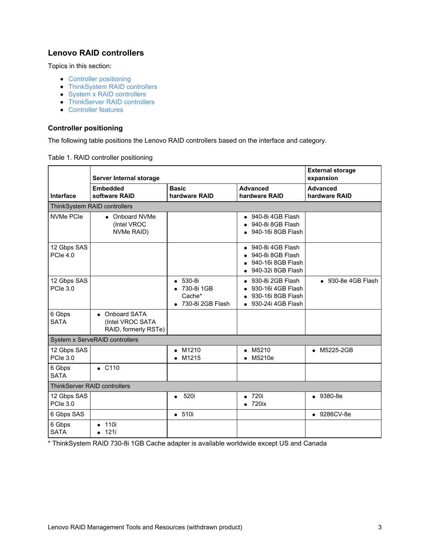## **Lenovo RAID controllers**

Topics in this section:

- Controller [positioning](#page-2-0)
- [ThinkSystem](#page-3-0) RAID controllers
- System x RAID [controllers](#page-5-0)
- [ThinkServer](#page-6-0) RAID controllers
- [Controller](#page-7-0) features

#### <span id="page-2-0"></span>**Controller positioning**

The following table positions the Lenovo RAID controllers based on the interface and category.

|                                | Server Internal storage                                    |                                                                 |                                                                                                           | <b>External storage</b><br>expansion |
|--------------------------------|------------------------------------------------------------|-----------------------------------------------------------------|-----------------------------------------------------------------------------------------------------------|--------------------------------------|
| Interface                      | <b>Embedded</b><br>software RAID                           | <b>Basic</b><br>hardware RAID                                   | <b>Advanced</b><br>hardware RAID                                                                          | <b>Advanced</b><br>hardware RAID     |
|                                | ThinkSystem RAID controllers                               |                                                                 |                                                                                                           |                                      |
| NVMe PCIe                      | Onboard NVMe<br>$\bullet$<br>(Intel VROC<br>NVMe RAID)     |                                                                 | $\bullet$ 940-8i 4GB Flash<br>$\bullet$ 940-8i 8GB Flash<br>$\bullet$ 940-16i 8GB Flash                   |                                      |
| 12 Gbps SAS<br>PCIe 4.0        |                                                            |                                                                 | $\bullet$ 940-8i 4GB Flash<br>940-8i 8GB Flash<br>940-16i 8GB Flash<br>940-32i 8GB Flash                  |                                      |
| 12 Gbps SAS<br><b>PCIe 3.0</b> |                                                            | 530-8i<br>$\bullet$<br>730-8i 1GB<br>Cache*<br>730-8i 2GB Flash | 930-8i 2GB Flash<br>$\bullet$<br>930-16i 4GB Flash<br>930-16i 8GB Flash<br>930-24i 4GB Flash<br>$\bullet$ | $\bullet$ 930-8e 4GB Flash           |
| 6 Gbps<br><b>SATA</b>          | • Onboard SATA<br>(Intel VROC SATA<br>RAID, formerly RSTe) |                                                                 |                                                                                                           |                                      |
|                                | System x ServeRAID controllers                             |                                                                 |                                                                                                           |                                      |
| 12 Gbps SAS<br><b>PCIe 3.0</b> |                                                            | M1210<br>M1215                                                  | M5210<br>$\bullet$<br>M5210e                                                                              | M5225-2GB                            |
| 6 Gbps<br><b>SATA</b>          | $\bullet$ C110                                             |                                                                 |                                                                                                           |                                      |
|                                | <b>ThinkServer RAID controllers</b>                        |                                                                 |                                                                                                           |                                      |
| 12 Gbps SAS<br>PCle 3.0        |                                                            | 520i<br>$\bullet$                                               | 720i<br>$\bullet$<br>720ix                                                                                | $• 9380-8e$                          |
| 6 Gbps SAS                     |                                                            | • 510i                                                          |                                                                                                           | • 9286CV-8e                          |
| 6 Gbps<br><b>SATA</b>          | 110i<br>$\bullet$<br>121i<br>$\bullet$                     |                                                                 |                                                                                                           |                                      |

Table 1. RAID controller positioning

\* ThinkSystem RAID 730-8i 1GB Cache adapter is available worldwide except US and Canada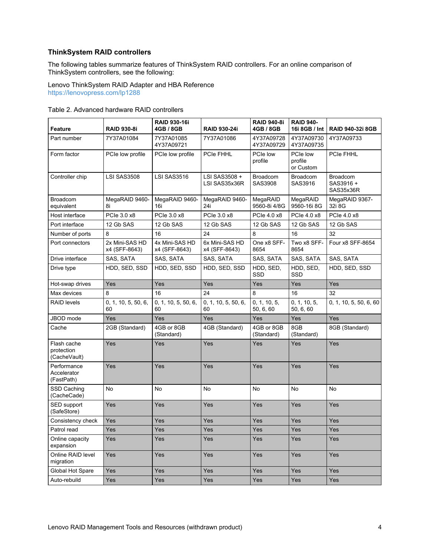#### <span id="page-3-0"></span>**ThinkSystem RAID controllers**

The following tables summarize features of ThinkSystem RAID controllers. For an online comparison of ThinkSystem controllers, see the following:

Lenovo ThinkSystem RAID Adapter and HBA Reference <https://lenovopress.com/lp1288>

| <b>Feature</b>                            | <b>RAID 930-8i</b>              | <b>RAID 930-16i</b><br>4GB / 8GB | <b>RAID 930-24i</b>             | <b>RAID 940-8i</b><br>4GB / 8GB | <b>RAID 940-</b><br>16i 8GB / Int | <b>RAID 940-32i 8GB</b>                   |
|-------------------------------------------|---------------------------------|----------------------------------|---------------------------------|---------------------------------|-----------------------------------|-------------------------------------------|
| Part number                               | 7Y37A01084                      | 7Y37A01085<br>4Y37A09721         | 7Y37A01086                      | 4Y37A09728<br>4Y37A09729        | 4Y37A09730<br>4Y37A09735          | 4Y37A09733                                |
| Form factor                               | PCIe low profile                | PCIe low profile                 | PCIe FHHL                       | PCIe low<br>profile             | PCIe low<br>profile<br>or Custom  | PCIe FHHL                                 |
| Controller chip                           | LSI SAS3508                     | <b>LSI SAS3516</b>               | LSI SAS3508 +<br>LSI SAS35x36R  | <b>Broadcom</b><br>SAS3908      | <b>Broadcom</b><br>SAS3916        | <b>Broadcom</b><br>SAS3916 +<br>SAS35x36R |
| <b>Broadcom</b><br>equivalent             | MegaRAID 9460-<br>8i            | MegaRAID 9460-<br>16i            | MegaRAID 9460-<br>24i           | MegaRAID<br>9560-8i 4/8G        | MegaRAID<br>9560-16i 8G           | MegaRAID 9367-<br>32i 8G                  |
| Host interface                            | PCle 3.0 x8                     | PCle 3.0 x8                      | PCle 3.0 x8                     | PCle 4.0 x8                     | PCle 4.0 x8                       | PCle 4.0 x8                               |
| Port interface                            | 12 Gb SAS                       | 12 Gb SAS                        | 12 Gb SAS                       | 12 Gb SAS                       | 12 Gb SAS                         | 12 Gb SAS                                 |
| Number of ports                           | 8                               | 16                               | 24                              | 8                               | 16                                | 32                                        |
| Port connectors                           | 2x Mini-SAS HD<br>x4 (SFF-8643) | 4x Mini-SAS HD<br>x4 (SFF-8643)  | 6x Mini-SAS HD<br>x4 (SFF-8643) | One x8 SFF-<br>8654             | Two x8 SFF-<br>8654               | Four x8 SFF-8654                          |
| Drive interface                           | SAS, SATA                       | SAS, SATA                        | SAS, SATA                       | SAS, SATA                       | SAS, SATA                         | SAS, SATA                                 |
| Drive type                                | HDD, SED, SSD                   | HDD, SED, SSD                    | HDD. SED. SSD                   | HDD, SED,<br>SSD                | HDD, SED,<br><b>SSD</b>           | HDD, SED, SSD                             |
| Hot-swap drives                           | Yes                             | Yes                              | Yes                             | Yes                             | Yes                               | Yes                                       |
| Max devices                               | 8                               | 16                               | 24                              | 8                               | 16                                | 32                                        |
| <b>RAID levels</b>                        | 0, 1, 10, 5, 50, 6,<br>60       | 0, 1, 10, 5, 50, 6,<br>60        | 0, 1, 10, 5, 50, 6,<br>60       | 0, 1, 10, 5,<br>50, 6, 60       | 0, 1, 10, 5,<br>50, 6, 60         | 0, 1, 10, 5, 50, 6, 60                    |
| JBOD mode                                 | Yes                             | Yes                              | Yes                             | Yes                             | Yes                               | Yes                                       |
| Cache                                     | 2GB (Standard)                  | 4GB or 8GB<br>(Standard)         | 4GB (Standard)                  | 4GB or 8GB<br>(Standard)        | 8GB<br>(Standard)                 | 8GB (Standard)                            |
| Flash cache<br>protection<br>(CacheVault) | Yes                             | Yes                              | Yes                             | Yes                             | Yes                               | Yes                                       |
| Performance<br>Accelerator<br>(FastPath)  | Yes                             | Yes                              | Yes                             | Yes                             | Yes                               | Yes                                       |
| SSD Caching<br>(CacheCade)                | No                              | <b>No</b>                        | <b>No</b>                       | <b>No</b>                       | No                                | <b>No</b>                                 |
| SED support<br>(SafeStore)                | Yes                             | Yes                              | Yes                             | Yes                             | Yes                               | Yes                                       |
| Consistency check                         | Yes                             | Yes                              | Yes                             | Yes                             | Yes                               | Yes                                       |
| Patrol read                               | Yes                             | Yes                              | Yes                             | Yes                             | Yes                               | Yes                                       |
| Online capacity<br>expansion              | Yes                             | Yes                              | Yes                             | Yes                             | Yes                               | Yes                                       |
| Online RAID level<br>migration            | Yes                             | Yes                              | Yes                             | Yes                             | Yes                               | Yes                                       |
| Global Hot Spare                          | Yes                             | Yes                              | Yes                             | Yes                             | Yes                               | Yes                                       |
| Auto-rebuild                              | Yes                             | Yes                              | Yes                             | Yes                             | Yes                               | Yes                                       |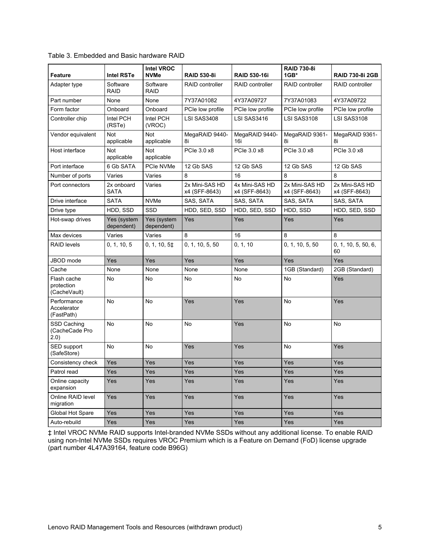| <b>Feature</b>                            | <b>Intel RSTe</b>         | <b>Intel VROC</b><br><b>NVMe</b> | <b>RAID 530-8i</b>              | <b>RAID 530-16i</b>             | <b>RAID 730-8i</b><br>$1GB*$    | <b>RAID 730-8i 2GB</b>          |
|-------------------------------------------|---------------------------|----------------------------------|---------------------------------|---------------------------------|---------------------------------|---------------------------------|
| Adapter type                              | Software<br><b>RAID</b>   | Software<br><b>RAID</b>          | <b>RAID controller</b>          | <b>RAID controller</b>          | <b>RAID controller</b>          | <b>RAID controller</b>          |
| Part number                               | None                      | None                             | 7Y37A01082                      | 4Y37A09727                      | 7Y37A01083                      | 4Y37A09722                      |
| Form factor                               | Onboard                   | Onboard                          | PCIe low profile                | PCIe low profile                | PCIe low profile                | PCIe low profile                |
| Controller chip                           | Intel PCH<br>(RSTe)       | Intel PCH<br>(VROC)              | LSI SAS3408                     | LSI SAS3416                     | LSI SAS3108                     | LSI SAS3108                     |
| Vendor equivalent                         | <b>Not</b><br>applicable  | <b>Not</b><br>applicable         | MegaRAID 9440-<br>8i            | MegaRAID 9440-<br>16i           | MegaRAID 9361-<br>8i            | MegaRAID 9361-<br>8i            |
| Host interface                            | Not<br>applicable         | <b>Not</b><br>applicable         | PCle 3.0 x8                     | PCle 3.0 x8                     | PCle 3.0 x8                     | PCle 3.0 x8                     |
| Port interface                            | 6 Gb SATA                 | PCIe NVMe                        | 12 Gb SAS                       | 12 Gb SAS                       | 12 Gb SAS                       | 12 Gb SAS                       |
| Number of ports                           | Varies                    | Varies                           | 8                               | 16                              | 8                               | 8                               |
| Port connectors                           | 2x onboard<br><b>SATA</b> | Varies                           | 2x Mini-SAS HD<br>x4 (SFF-8643) | 4x Mini-SAS HD<br>x4 (SFF-8643) | 2x Mini-SAS HD<br>x4 (SFF-8643) | 2x Mini-SAS HD<br>x4 (SFF-8643) |
| Drive interface                           | <b>SATA</b>               | <b>NVMe</b>                      | SAS, SATA                       | SAS, SATA                       | SAS, SATA                       | SAS, SATA                       |
| Drive type                                | HDD, SSD                  | SSD                              | HDD, SED, SSD                   | HDD, SED, SSD                   | HDD, SSD                        | HDD, SED, SSD                   |
| Hot-swap drives                           | Yes (system<br>dependent) | Yes (system<br>dependent)        | Yes                             | Yes                             | Yes                             | Yes                             |
| Max devices                               | Varies                    | Varies                           | 8                               | 16                              | 8                               | 8                               |
| <b>RAID levels</b>                        | 0, 1, 10, 5               | 0, 1, 10, 5 <sup>±</sup>         | 0, 1, 10, 5, 50                 | 0, 1, 10                        | 0, 1, 10, 5, 50                 | 0, 1, 10, 5, 50, 6,<br>60       |
| JBOD mode                                 | Yes                       | Yes                              | Yes                             | Yes                             | Yes                             | Yes                             |
| Cache                                     | None                      | None                             | None                            | None                            | 1GB (Standard)                  | 2GB (Standard)                  |
| Flash cache<br>protection<br>(CacheVault) | No                        | <b>No</b>                        | <b>No</b>                       | No                              | No                              | Yes                             |
| Performance<br>Accelerator<br>(FastPath)  | No                        | <b>No</b>                        | Yes                             | Yes                             | <b>No</b>                       | Yes                             |
| SSD Caching<br>(CacheCade Pro<br>(2.0)    | No                        | No                               | <b>No</b>                       | Yes                             | <b>No</b>                       | No                              |
| SED support<br>(SafeStore)                | No                        | No                               | Yes                             | Yes                             | No                              | Yes                             |
| Consistency check                         | Yes                       | Yes                              | Yes                             | Yes                             | Yes                             | Yes                             |
| Patrol read                               | Yes                       | Yes                              | Yes                             | Yes                             | Yes                             | Yes                             |
| Online capacity<br>expansion              | Yes                       | Yes                              | Yes                             | Yes                             | Yes                             | Yes                             |
| Online RAID level<br>migration            | Yes                       | Yes                              | Yes                             | Yes                             | Yes                             | Yes                             |
| Global Hot Spare                          | Yes                       | Yes                              | Yes                             | Yes                             | Yes                             | Yes                             |
| Auto-rebuild                              | Yes                       | Yes                              | Yes                             | Yes                             | Yes                             | Yes                             |

Table 3. Embedded and Basic hardware RAID

‡ Intel VROC NVMe RAID supports Intel-branded NVMe SSDs without any additional license. To enable RAID using non-Intel NVMe SSDs requires VROC Premium which is a Feature on Demand (FoD) license upgrade (part number 4L47A39164, feature code B96G)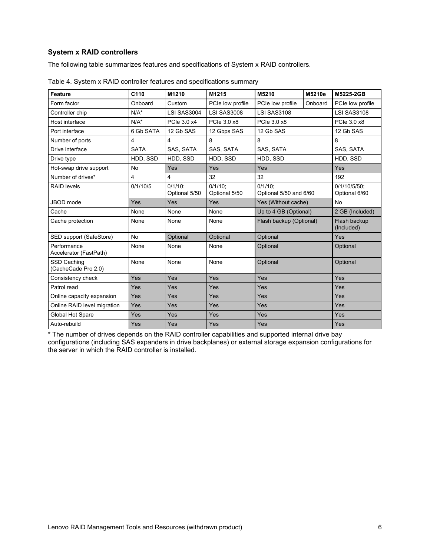## <span id="page-5-0"></span>**System x RAID controllers**

The following table summarizes features and specifications of System x RAID controllers.

| Feature                               | C110           | M1210                       | M1215                       | M5210                                | M5210e  | M5225-2GB                     |
|---------------------------------------|----------------|-----------------------------|-----------------------------|--------------------------------------|---------|-------------------------------|
| Form factor                           | Onboard        | Custom                      | PCIe low profile            | PCIe low profile                     | Onboard | PCIe low profile              |
| Controller chip                       | $N/A^*$        | LSI SAS3004                 | <b>LSI SAS3008</b>          | <b>LSI SAS3108</b>                   |         | <b>LSI SAS3108</b>            |
| Host interface                        | $N/A^*$        | PCle 3.0 x4                 | PCIe 3.0 x8                 | PCle 3.0 x8                          |         | PCle 3.0 x8                   |
| Port interface                        | 6 Gb SATA      | 12 Gb SAS                   | 12 Gbps SAS                 | 12 Gb SAS                            |         | 12 Gb SAS                     |
| Number of ports                       | $\overline{4}$ | $\overline{4}$              | 8                           | 8                                    |         | 8                             |
| Drive interface                       | <b>SATA</b>    | SAS, SATA                   | SAS, SATA                   | SAS, SATA                            |         | SAS, SATA                     |
| Drive type                            | HDD, SSD       | HDD, SSD                    | HDD, SSD                    | HDD, SSD                             |         | HDD, SSD                      |
| Hot-swap drive support                | <b>No</b>      | Yes                         | Yes                         | Yes                                  |         | Yes                           |
| Number of drives*                     | 4              | 4                           | 32                          | 32                                   |         | 192                           |
| <b>RAID levels</b>                    | 0/1/10/5       | $0/1/10$ :<br>Optional 5/50 | $0/1/10$ :<br>Optional 5/50 | $0/1/10$ :<br>Optional 5/50 and 6/60 |         | 0/1/10/5/50:<br>Optional 6/60 |
| JBOD mode                             | Yes            | Yes                         | Yes                         | Yes (Without cache)                  |         | <b>No</b>                     |
| Cache                                 | None           | None                        | None                        | Up to 4 GB (Optional)                |         | 2 GB (Included)               |
| Cache protection                      | None           | None                        | None                        | Flash backup (Optional)              |         | Flash backup<br>(Included)    |
| SED support (SafeStore)               | <b>No</b>      | Optional                    | Optional                    | Optional                             |         | Yes                           |
| Performance<br>Accelerator (FastPath) | None           | None                        | None                        | Optional                             |         | Optional                      |
| SSD Caching<br>(CacheCade Pro 2.0)    | None           | None                        | None                        | Optional                             |         | Optional                      |
| Consistency check                     | Yes            | Yes                         | Yes                         | Yes                                  |         | Yes                           |
| Patrol read                           | Yes            | Yes                         | Yes                         | Yes                                  |         | Yes                           |
| Online capacity expansion             | Yes            | Yes                         | Yes                         | Yes                                  |         | Yes                           |
| Online RAID level migration           | Yes            | Yes                         | Yes                         | Yes                                  |         | Yes                           |
| Global Hot Spare                      | Yes            | Yes                         | Yes                         | Yes                                  |         | Yes                           |
| Auto-rebuild                          | Yes            | Yes                         | Yes                         | Yes                                  |         | Yes                           |

|  |  | Table 4. System x RAID controller features and specifications summary |  |
|--|--|-----------------------------------------------------------------------|--|
|--|--|-----------------------------------------------------------------------|--|

\* The number of drives depends on the RAID controller capabilities and supported internal drive bay configurations (including SAS expanders in drive backplanes) or external storage expansion configurations for the server in which the RAID controller is installed.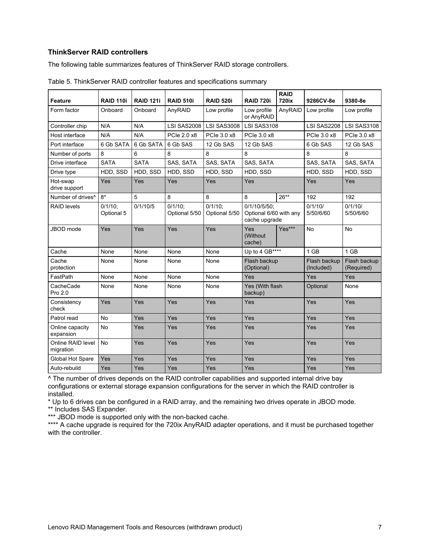#### <span id="page-6-0"></span>**ThinkServer RAID controllers**

The following table summarizes features of ThinkServer RAID storage controllers.

|                                |                          |                  |                             |                             |                                                         | <b>RAID</b> |                            |                            |
|--------------------------------|--------------------------|------------------|-----------------------------|-----------------------------|---------------------------------------------------------|-------------|----------------------------|----------------------------|
| <b>Feature</b>                 | <b>RAID 110i</b>         | <b>RAID 121i</b> | <b>RAID 510i</b>            | <b>RAID 520i</b>            | <b>RAID 720i</b>                                        | 720ix       | 9286CV-8e                  | 9380-8e                    |
| Form factor                    | Onboard                  | Onboard          | AnyRAID                     | Low profile                 | Low profile<br>or AnyRAID                               | AnyRAID     | Low profile                | Low profile                |
| Controller chip                | N/A                      | N/A              | LSI SAS2008                 | <b>LSI SAS3008</b>          | <b>LSI SAS3108</b>                                      |             | <b>LSI SAS2208</b>         | <b>LSI SAS3108</b>         |
| Host interface                 | N/A                      | N/A              | PCle 2.0 x8                 | PCIe 3.0 x8                 | PCIe 3.0 x8                                             |             | PCIe 3.0 x8                | PCIe 3.0 x8                |
| Port interface                 | 6 Gb SATA                | 6 Gb SATA        | 6 Gb SAS                    | 12 Gb SAS                   | 12 Gb SAS                                               |             | 6 Gb SAS                   | 12 Gb SAS                  |
| Number of ports                | 8                        | 6                | 8                           | 8                           | 8                                                       |             | 8                          | 8                          |
| Drive interface                | <b>SATA</b>              | <b>SATA</b>      | SAS, SATA                   | SAS, SATA                   | SAS, SATA                                               |             | SAS, SATA                  | SAS, SATA                  |
| Drive type                     | HDD, SSD                 | HDD, SSD         | HDD. SSD                    | HDD, SSD                    | HDD, SSD                                                |             | HDD, SSD                   | HDD, SSD                   |
| Hot-swap<br>drive support      | Yes                      | Yes              | Yes                         | Yes                         | Yes                                                     |             | Yes                        | Yes                        |
| Number of drives <sup>^</sup>  | $8*$                     | 5                | 8                           | 8                           | 8                                                       | $26**$      | 192                        | 192                        |
| <b>RAID levels</b>             | $0/1/10$ :<br>Optional 5 | 0/1/10/5         | $0/1/10$ :<br>Optional 5/50 | $0/1/10$ :<br>Optional 5/50 | 0/1/10/5/50:<br>Optional 6/60 with any<br>cache upgrade |             | 0/1/10/<br>5/50/6/60       | 0/1/10/<br>5/50/6/60       |
| JBOD mode                      | Yes                      | Yes              | Yes                         | Yes                         | Yes<br>(Without)<br>cache)                              | Yes***      | <b>No</b>                  | <b>No</b>                  |
| Cache                          | None                     | None             | None                        | None                        | Up to 4 GB****                                          |             | 1 GB                       | 1 GB                       |
| Cache<br>protection            | None                     | None             | None                        | None                        | Flash backup<br>(Optional)                              |             | Flash backup<br>(Included) | Flash backup<br>(Required) |
| FastPath                       | None                     | None             | None                        | None                        | Yes                                                     |             | Yes                        | Yes                        |
| CacheCade<br>Pro 2.0           | None                     | None             | None                        | None                        | Yes (With flash<br>backup)                              |             | Optional                   | None                       |
| Consistency<br>check           | Yes                      | Yes              | Yes                         | Yes                         | Yes                                                     |             | Yes                        | Yes                        |
| Patrol read                    | <b>No</b>                | Yes              | Yes                         | Yes                         | Yes                                                     |             | Yes                        | Yes                        |
| Online capacity<br>expansion   | <b>No</b>                | Yes              | Yes                         | Yes                         | Yes                                                     |             | Yes                        | Yes                        |
| Online RAID level<br>migration | <b>No</b>                | Yes              | Yes                         | Yes                         | Yes                                                     |             | Yes                        | Yes                        |
| Global Hot Spare               | Yes                      | Yes              | Yes                         | Yes                         | Yes                                                     |             | Yes                        | Yes                        |
| Auto-rebuild                   | Yes                      | Yes              | Yes                         | Yes                         | Yes                                                     |             | Yes                        | Yes                        |

Table 5. ThinkServer RAID controller features and specifications summary

^ The number of drives depends on the RAID controller capabilities and supported internal drive bay configurations or external storage expansion configurations for the server in which the RAID controller is installed.

\* Up to 6 drives can be configured in a RAID array, and the remaining two drives operate in JBOD mode. \*\* Includes SAS Expander.

\*\*\* JBOD mode is supported only with the non-backed cache.

\*\*\*\* A cache upgrade is required for the 720ix AnyRAID adapter operations, and it must be purchased together with the controller.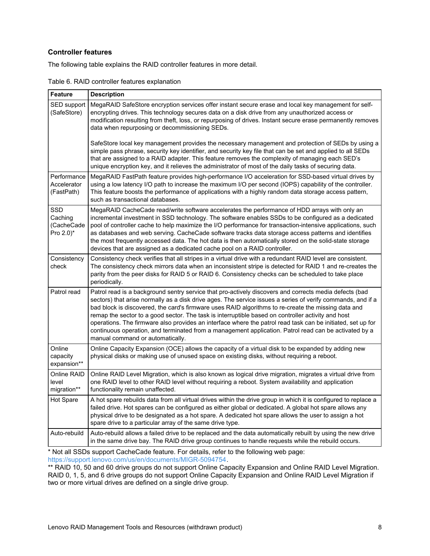#### <span id="page-7-0"></span>**Controller features**

The following table explains the RAID controller features in more detail.

| Table 6. RAID controller features explanation |  |  |  |  |  |
|-----------------------------------------------|--|--|--|--|--|
|-----------------------------------------------|--|--|--|--|--|

| <b>Feature</b>                                                | <b>Description</b>                                                                                                                                                                                                                                                                                                                                                                                                                                                                                                                                                                                                                                                                             |
|---------------------------------------------------------------|------------------------------------------------------------------------------------------------------------------------------------------------------------------------------------------------------------------------------------------------------------------------------------------------------------------------------------------------------------------------------------------------------------------------------------------------------------------------------------------------------------------------------------------------------------------------------------------------------------------------------------------------------------------------------------------------|
| SED support<br>(SafeStore)                                    | MegaRAID SafeStore encryption services offer instant secure erase and local key management for self-<br>encrypting drives. This technology secures data on a disk drive from any unauthorized access or<br>modification resulting from theft, loss, or repurposing of drives. Instant secure erase permanently removes<br>data when repurposing or decommissioning SEDs.                                                                                                                                                                                                                                                                                                                       |
|                                                               | SafeStore local key management provides the necessary management and protection of SEDs by using a<br>simple pass phrase, security key identifier, and security key file that can be set and applied to all SEDs<br>that are assigned to a RAID adapter. This feature removes the complexity of managing each SED's<br>unique encryption key, and it relieves the administrator of most of the daily tasks of securing data.                                                                                                                                                                                                                                                                   |
| Performance<br>Accelerator<br>(FastPath)                      | MegaRAID FastPath feature provides high-performance I/O acceleration for SSD-based virtual drives by<br>using a low latency I/O path to increase the maximum I/O per second (IOPS) capability of the controller.<br>This feature boosts the performance of applications with a highly random data storage access pattern,<br>such as transactional databases.                                                                                                                                                                                                                                                                                                                                  |
| <b>SSD</b><br>Caching<br>(CacheCade<br>Pro $2.0$ <sup>*</sup> | MegaRAID CacheCade read/write software accelerates the performance of HDD arrays with only an<br>incremental investment in SSD technology. The software enables SSDs to be configured as a dedicated<br>pool of controller cache to help maximize the I/O performance for transaction-intensive applications, such<br>as databases and web serving. CacheCade software tracks data storage access patterns and identifies<br>the most frequently accessed data. The hot data is then automatically stored on the solid-state storage<br>devices that are assigned as a dedicated cache pool on a RAID controller.                                                                              |
| Consistency<br>check                                          | Consistency check verifies that all stripes in a virtual drive with a redundant RAID level are consistent.<br>The consistency check mirrors data when an inconsistent stripe is detected for RAID 1 and re-creates the<br>parity from the peer disks for RAID 5 or RAID 6. Consistency checks can be scheduled to take place<br>periodically.                                                                                                                                                                                                                                                                                                                                                  |
| Patrol read                                                   | Patrol read is a background sentry service that pro-actively discovers and corrects media defects (bad<br>sectors) that arise normally as a disk drive ages. The service issues a series of verify commands, and if a<br>bad block is discovered, the card's firmware uses RAID algorithms to re-create the missing data and<br>remap the sector to a good sector. The task is interruptible based on controller activity and host<br>operations. The firmware also provides an interface where the patrol read task can be initiated, set up for<br>continuous operation, and terminated from a management application. Patrol read can be activated by a<br>manual command or automatically. |
| Online<br>capacity<br>expansion**                             | Online Capacity Expansion (OCE) allows the capacity of a virtual disk to be expanded by adding new<br>physical disks or making use of unused space on existing disks, without requiring a reboot.                                                                                                                                                                                                                                                                                                                                                                                                                                                                                              |
| Online RAID<br>level<br>migration**                           | Online RAID Level Migration, which is also known as logical drive migration, migrates a virtual drive from<br>one RAID level to other RAID level without requiring a reboot. System availability and application<br>functionality remain unaffected.                                                                                                                                                                                                                                                                                                                                                                                                                                           |
| Hot Spare                                                     | A hot spare rebuilds data from all virtual drives within the drive group in which it is configured to replace a<br>failed drive. Hot spares can be configured as either global or dedicated. A global hot spare allows any<br>physical drive to be designated as a hot spare. A dedicated hot spare allows the user to assign a hot<br>spare drive to a particular array of the same drive type.                                                                                                                                                                                                                                                                                               |
| Auto-rebuild                                                  | Auto-rebuild allows a failed drive to be replaced and the data automatically rebuilt by using the new drive<br>in the same drive bay. The RAID drive group continues to handle requests while the rebuild occurs.                                                                                                                                                                                                                                                                                                                                                                                                                                                                              |

\* Not all SSDs support CacheCade feature. For details, refer to the following web page: [https://support.lenovo.com/us/en/documents/MIGR-5094754.](https://support.lenovo.com/us/en/documents/MIGR-5094754)

\*\* RAID 10, 50 and 60 drive groups do not support Online Capacity Expansion and Online RAID Level Migration. RAID 0, 1, 5, and 6 drive groups do not support Online Capacity Expansion and Online RAID Level Migration if two or more virtual drives are defined on a single drive group.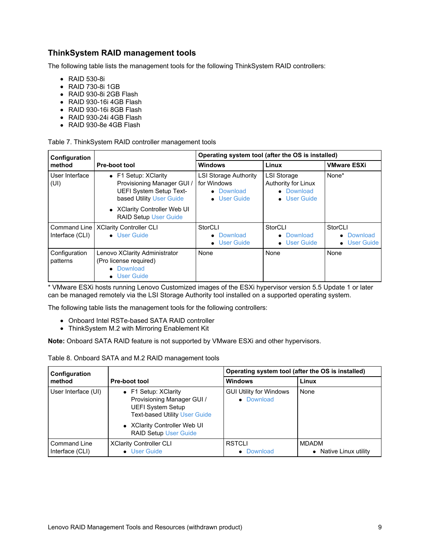## **ThinkSystem RAID management tools**

The following table lists the management tools for the following ThinkSystem RAID controllers:

- RAID 530-8i
- RAID 730-8i 1GB
- RAID 930-8i 2GB Flash
- RAID 930-16i 4GB Flash
- RAID 930-16i 8GB Flash
- RAID 930-24i 4GB Flash
- RAID 930-8e 4GB Flash

|  |  | Table 7. ThinkSystem RAID controller management tools |  |
|--|--|-------------------------------------------------------|--|
|  |  |                                                       |  |

| Configuration                   |                                                                                                           | Operating system tool (after the OS is installed)                         |                                                                         |                                       |  |  |
|---------------------------------|-----------------------------------------------------------------------------------------------------------|---------------------------------------------------------------------------|-------------------------------------------------------------------------|---------------------------------------|--|--|
| method                          | Pre-boot tool                                                                                             | <b>Windows</b>                                                            | Linux                                                                   | <b>VMware ESXi</b>                    |  |  |
| User Interface<br>(UI)          | • F1 Setup: XClarity<br>Provisioning Manager GUI /<br>UEFI System Setup Text-<br>based Utility User Guide | <b>LSI Storage Authority</b><br>for Windows<br>• Download<br>• User Guide | <b>LSI Storage</b><br>Authority for Linux<br>• Download<br>• User Guide | None*                                 |  |  |
|                                 | • XClarity Controller Web UI<br><b>RAID Setup User Guide</b>                                              |                                                                           |                                                                         |                                       |  |  |
| Command Line<br>Interface (CLI) | <b>XClarity Controller CLI</b><br>• User Guide                                                            | StorCLI<br>• Download<br>• User Guide                                     | StorCLI<br>• Download<br>• User Guide                                   | StorCLI<br>• Download<br>• User Guide |  |  |
| Configuration<br>patterns       | Lenovo XClarity Administrator<br>(Pro license required)<br>Download<br>User Guide                         | None                                                                      | None                                                                    | None                                  |  |  |

\* VMware ESXi hosts running Lenovo Customized images of the ESXi hypervisor version 5.5 Update 1 or later can be managed remotely via the LSI Storage Authority tool installed on a supported operating system.

The following table lists the management tools for the following controllers:

- Onboard Intel RSTe-based SATA RAID controller
- ThinkSystem M.2 with Mirroring Enablement Kit

**Note:** Onboard SATA RAID feature is not supported by VMware ESXi and other hypervisors.

| Configuration                   |                                                                                                                        | Operating system tool (after the OS is installed) |                                        |
|---------------------------------|------------------------------------------------------------------------------------------------------------------------|---------------------------------------------------|----------------------------------------|
| method                          | <b>Pre-boot tool</b>                                                                                                   | <b>Windows</b>                                    | Linux                                  |
| User Interface (UI)             | • F1 Setup: XClarity<br>Provisioning Manager GUI /<br><b>UEFI System Setup</b><br><b>Text-based Utility User Guide</b> | <b>GUI Utility for Windows</b><br>• Download      | None                                   |
|                                 | • XClarity Controller Web UI<br><b>RAID Setup User Guide</b>                                                           |                                                   |                                        |
| Command Line<br>Interface (CLI) | <b>XClarity Controller CLI</b><br>• User Guide                                                                         | <b>RSTCLI</b><br>Download                         | <b>MDADM</b><br>• Native Linux utility |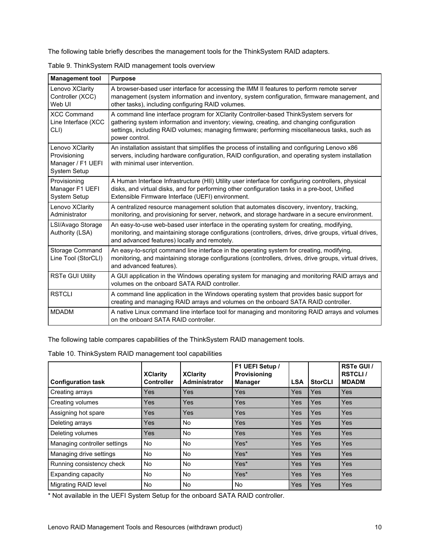The following table briefly describes the management tools for the ThinkSystem RAID adapters.

| <b>Management tool</b>                                                      | <b>Purpose</b>                                                                                                                                                                                                                                                                                        |
|-----------------------------------------------------------------------------|-------------------------------------------------------------------------------------------------------------------------------------------------------------------------------------------------------------------------------------------------------------------------------------------------------|
| Lenovo XClarity<br>Controller (XCC)<br>Web UI                               | A browser-based user interface for accessing the IMM II features to perform remote server<br>management (system information and inventory, system configuration, firmware management, and<br>other tasks), including configuring RAID volumes.                                                        |
| <b>XCC Command</b><br>Line Interface (XCC<br>CLI)                           | A command line interface program for XClarity Controller-based ThinkSystem servers for<br>gathering system information and inventory; viewing, creating, and changing configuration<br>settings, including RAID volumes; managing firmware; performing miscellaneous tasks, such as<br>power control. |
| Lenovo XClarity<br>Provisioning<br>Manager / F1 UEFI<br><b>System Setup</b> | An installation assistant that simplifies the process of installing and configuring Lenovo x86<br>servers, including hardware configuration, RAID configuration, and operating system installation<br>with minimal user intervention.                                                                 |
| Provisioning<br>Manager F1 UEFI<br><b>System Setup</b>                      | A Human Interface Infrastructure (HII) Utility user interface for configuring controllers, physical<br>disks, and virtual disks, and for performing other configuration tasks in a pre-boot, Unified<br>Extensible Firmware Interface (UEFI) environment.                                             |
| Lenovo XClarity<br>Administrator                                            | A centralized resource management solution that automates discovery, inventory, tracking,<br>monitoring, and provisioning for server, network, and storage hardware in a secure environment.                                                                                                          |
| LSI/Avago Storage<br>Authority (LSA)                                        | An easy-to-use web-based user interface in the operating system for creating, modifying,<br>monitoring, and maintaining storage configurations (controllers, drives, drive groups, virtual drives,<br>and advanced features) locally and remotely.                                                    |
| Storage Command<br>Line Tool (StorCLI)                                      | An easy-to-script command line interface in the operating system for creating, modifying,<br>monitoring, and maintaining storage configurations (controllers, drives, drive groups, virtual drives,<br>and advanced features).                                                                        |
| <b>RSTe GUI Utility</b>                                                     | A GUI application in the Windows operating system for managing and monitoring RAID arrays and<br>volumes on the onboard SATA RAID controller.                                                                                                                                                         |
| <b>RSTCLI</b>                                                               | A command line application in the Windows operating system that provides basic support for<br>creating and managing RAID arrays and volumes on the onboard SATA RAID controller.                                                                                                                      |
| <b>MDADM</b>                                                                | A native Linux command line interface tool for managing and monitoring RAID arrays and volumes<br>on the onboard SATA RAID controller.                                                                                                                                                                |

Table 9. ThinkSystem RAID management tools overview

Ē

The following table compares capabilities of the ThinkSystem RAID management tools.

Table 10. ThinkSystem RAID management tool capabilities

| <b>Configuration task</b>    | <b>XClarity</b><br><b>Controller</b> | <b>XClarity</b><br>Administrator | F1 UEFI Setup /<br>Provisioning<br><b>Manager</b> | <b>LSA</b> | <b>StorCLI</b> | RSTe GUI /<br><b>RSTCLI/</b><br><b>MDADM</b> |
|------------------------------|--------------------------------------|----------------------------------|---------------------------------------------------|------------|----------------|----------------------------------------------|
| Creating arrays              | Yes                                  | <b>Yes</b>                       | Yes                                               | Yes        | Yes            | <b>Yes</b>                                   |
| Creating volumes             | Yes                                  | <b>Yes</b>                       | Yes                                               | Yes        | Yes            | <b>Yes</b>                                   |
| Assigning hot spare          | Yes                                  | <b>Yes</b>                       | Yes                                               | Yes        | Yes            | <b>Yes</b>                                   |
| Deleting arrays              | Yes                                  | No                               | Yes                                               | Yes        | Yes            | <b>Yes</b>                                   |
| Deleting volumes             | Yes                                  | No                               | Yes                                               | Yes        | Yes            | <b>Yes</b>                                   |
| Managing controller settings | No.                                  | No                               | Yes*                                              | Yes        | Yes            | <b>Yes</b>                                   |
| Managing drive settings      | No                                   | No                               | Yes*                                              | Yes        | Yes            | <b>Yes</b>                                   |
| Running consistency check    | No                                   | No                               | Yes*                                              | <b>Yes</b> | Yes            | <b>Yes</b>                                   |
| Expanding capacity           | No                                   | No                               | Yes*                                              | Yes        | <b>Yes</b>     | <b>Yes</b>                                   |
| <b>Migrating RAID level</b>  | No                                   | No                               | <b>No</b>                                         | Yes        | Yes            | <b>Yes</b>                                   |

\* Not available in the UEFI System Setup for the onboard SATA RAID controller.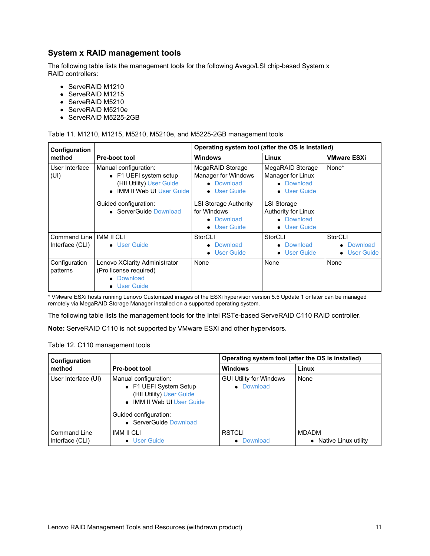## **System x RAID management tools**

The following table lists the management tools for the following Avago/LSI chip-based System x RAID controllers:

- ServeRAID M1210
- ServeRAID M1215
- ServeRAID M5210
- ServeRAID M5210e
- ServeRAID M5225-2GB

Table 11. M1210, M1215, M5210, M5210e, and M5225-2GB management tools

| Configuration                   |                                                                                                                                                                   | Operating system tool (after the OS is installed)                                                                                                  |                                                                                                                                                           |                                                |  |
|---------------------------------|-------------------------------------------------------------------------------------------------------------------------------------------------------------------|----------------------------------------------------------------------------------------------------------------------------------------------------|-----------------------------------------------------------------------------------------------------------------------------------------------------------|------------------------------------------------|--|
| method                          | <b>Pre-boot tool</b>                                                                                                                                              | <b>Windows</b>                                                                                                                                     | Linux                                                                                                                                                     | <b>VMware ESXi</b>                             |  |
| User Interface<br>(UI)          | Manual configuration:<br>• F1 UEFI system setup<br>(HII Utility) User Guide<br><b>IMM II Web UI User Guide</b><br>Guided configuration:<br>• ServerGuide Download | MegaRAID Storage<br>Manager for Windows<br>• Download<br>• User Guide<br><b>LSI Storage Authority</b><br>for Windows<br>• Download<br>• User Guide | MegaRAID Storage<br>Manager for Linux<br>• Download<br><b>User Guide</b><br>$\bullet$<br>LSI Storage<br>Authority for Linux<br>• Download<br>• User Guide | None*                                          |  |
| Command Line<br>Interface (CLI) | <b>IMM II CLI</b><br>• User Guide                                                                                                                                 | StorCLI<br>Download<br>• User Guide                                                                                                                | StorCLI<br>• Download<br>• User Guide                                                                                                                     | StorCLI<br>Download<br>User Guide<br>$\bullet$ |  |
| Configuration<br>patterns       | Lenovo XClarity Administrator<br>(Pro license required)<br>Download<br><b>User Guide</b>                                                                          | None                                                                                                                                               | None                                                                                                                                                      | None                                           |  |

\* VMware ESXi hosts running Lenovo Customized images of the ESXi hypervisor version 5.5 Update 1 or later can be managed remotely via MegaRAID Storage Manager installed on a supported operating system.

The following table lists the management tools for the Intel RSTe-based ServeRAID C110 RAID controller.

**Note:** ServeRAID C110 is not supported by VMware ESXi and other hypervisors.

| Configuration                          |                                                                                                                                                              | Operating system tool (after the OS is installed) |                                                   |  |
|----------------------------------------|--------------------------------------------------------------------------------------------------------------------------------------------------------------|---------------------------------------------------|---------------------------------------------------|--|
| method                                 | <b>Pre-boot tool</b>                                                                                                                                         | <b>Windows</b>                                    | Linux                                             |  |
| User Interface (UI)                    | Manual configuration:<br>• F1 UEFI System Setup<br>(HII Utility) User Guide<br>• IMM II Web UI User Guide<br>Guided configuration:<br>• ServerGuide Download | <b>GUI Utility for Windows</b><br>• Download      | None                                              |  |
| <b>Command Line</b><br>Interface (CLI) | IMM II CLI<br>• User Guide                                                                                                                                   | <b>RSTCLI</b><br>Download                         | <b>MDADM</b><br>Native Linux utility<br>$\bullet$ |  |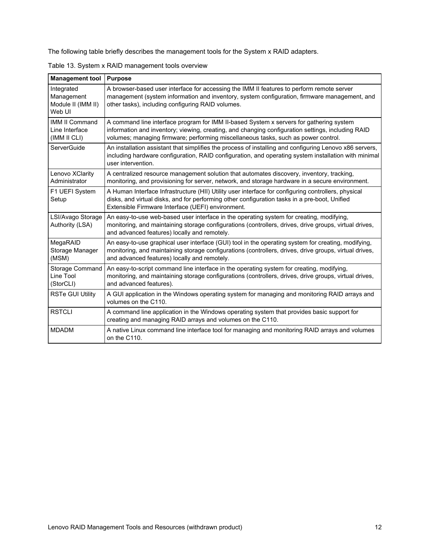The following table briefly describes the management tools for the System x RAID adapters.

| <b>Management tool</b>                                   | <b>Purpose</b>                                                                                                                                                                                                                                                                     |
|----------------------------------------------------------|------------------------------------------------------------------------------------------------------------------------------------------------------------------------------------------------------------------------------------------------------------------------------------|
| Integrated<br>Management<br>Module II (IMM II)<br>Web UI | A browser-based user interface for accessing the IMM II features to perform remote server<br>management (system information and inventory, system configuration, firmware management, and<br>other tasks), including configuring RAID volumes.                                     |
| <b>IMM II Command</b><br>Line Interface<br>(IMM II CLI)  | A command line interface program for IMM II-based System x servers for gathering system<br>information and inventory; viewing, creating, and changing configuration settings, including RAID<br>volumes; managing firmware; performing miscellaneous tasks, such as power control. |
| ServerGuide                                              | An installation assistant that simplifies the process of installing and configuring Lenovo x86 servers,<br>including hardware configuration, RAID configuration, and operating system installation with minimal<br>user intervention.                                              |
| Lenovo XClarity<br>Administrator                         | A centralized resource management solution that automates discovery, inventory, tracking,<br>monitoring, and provisioning for server, network, and storage hardware in a secure environment.                                                                                       |
| F1 UEFI System<br>Setup                                  | A Human Interface Infrastructure (HII) Utility user interface for configuring controllers, physical<br>disks, and virtual disks, and for performing other configuration tasks in a pre-boot, Unified<br>Extensible Firmware Interface (UEFI) environment.                          |
| LSI/Avago Storage<br>Authority (LSA)                     | An easy-to-use web-based user interface in the operating system for creating, modifying,<br>monitoring, and maintaining storage configurations (controllers, drives, drive groups, virtual drives,<br>and advanced features) locally and remotely.                                 |
| MegaRAID<br>Storage Manager<br>(MSM)                     | An easy-to-use graphical user interface (GUI) tool in the operating system for creating, modifying,<br>monitoring, and maintaining storage configurations (controllers, drives, drive groups, virtual drives,<br>and advanced features) locally and remotely.                      |
| Storage Command<br>Line Tool<br>(StorCLI)                | An easy-to-script command line interface in the operating system for creating, modifying,<br>monitoring, and maintaining storage configurations (controllers, drives, drive groups, virtual drives,<br>and advanced features).                                                     |
| <b>RSTe GUI Utility</b>                                  | A GUI application in the Windows operating system for managing and monitoring RAID arrays and<br>volumes on the C110.                                                                                                                                                              |
| <b>RSTCLI</b>                                            | A command line application in the Windows operating system that provides basic support for<br>creating and managing RAID arrays and volumes on the C110.                                                                                                                           |
| <b>MDADM</b>                                             | A native Linux command line interface tool for managing and monitoring RAID arrays and volumes<br>on the C110.                                                                                                                                                                     |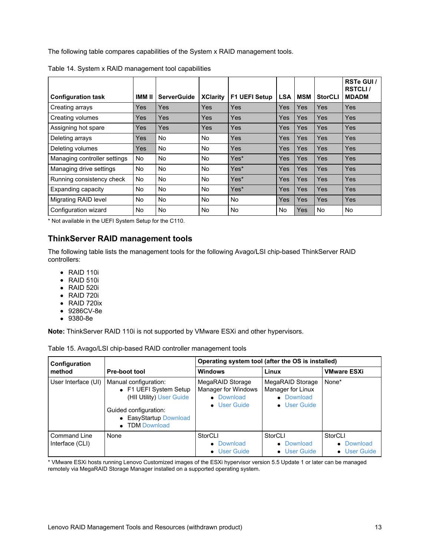The following table compares capabilities of the System x RAID management tools.

| <b>Configuration task</b>    | IMM II     | <b>ServerGuide</b> | <b>XClarity</b> | <b>F1 UEFI Setup</b> | <b>LSA</b> | <b>MSM</b> | <b>StorCLI</b> | RSTe GUI /<br><b>RSTCLI/</b><br><b>MDADM</b> |
|------------------------------|------------|--------------------|-----------------|----------------------|------------|------------|----------------|----------------------------------------------|
| Creating arrays              | Yes        | <b>Yes</b>         | Yes             | Yes                  | Yes        | Yes        | Yes            | Yes                                          |
| Creating volumes             | Yes        | <b>Yes</b>         | <b>Yes</b>      | Yes                  | Yes        | Yes        | Yes            | Yes                                          |
| Assigning hot spare          | <b>Yes</b> | Yes                | <b>Yes</b>      | Yes                  | Yes        | Yes        | Yes            | Yes                                          |
| Deleting arrays              | Yes        | No                 | <b>No</b>       | Yes                  | Yes        | Yes        | Yes            | Yes                                          |
| Deleting volumes             | Yes        | <b>No</b>          | <b>No</b>       | Yes                  | Yes        | Yes        | Yes            | Yes                                          |
| Managing controller settings | <b>No</b>  | <b>No</b>          | <b>No</b>       | Yes*                 | Yes        | Yes        | Yes            | Yes                                          |
| Managing drive settings      | <b>No</b>  | <b>No</b>          | <b>No</b>       | Yes*                 | Yes        | Yes        | Yes            | Yes                                          |
| Running consistency check    | No         | No                 | <b>No</b>       | Yes*                 | Yes        | Yes        | Yes            | Yes                                          |
| Expanding capacity           | No         | <b>No</b>          | <b>No</b>       | Yes*                 | Yes        | Yes        | Yes            | Yes                                          |
| Migrating RAID level         | No.        | No.                | <b>No</b>       | <b>No</b>            | Yes        | Yes        | Yes            | Yes                                          |
| Configuration wizard         | <b>No</b>  | No.                | <b>No</b>       | <b>No</b>            | No         | Yes        | No.            | <b>No</b>                                    |

Table 14. System x RAID management tool capabilities

\* Not available in the UEFI System Setup for the C110.

## **ThinkServer RAID management tools**

The following table lists the management tools for the following Avago/LSI chip-based ThinkServer RAID controllers:

- RAID 110i
- RAID 510i
- RAID 520i
- RAID 720i
- RAID 720ix
- 9286CV-8e
- 9380-8e

**Note:** ThinkServer RAID 110i is not supported by VMware ESXi and other hypervisors.

| Configuration                   |                                                                                                                                                  | Operating system tool (after the OS is installed)                     |                                                                     |                       |  |
|---------------------------------|--------------------------------------------------------------------------------------------------------------------------------------------------|-----------------------------------------------------------------------|---------------------------------------------------------------------|-----------------------|--|
| method                          | Pre-boot tool                                                                                                                                    | <b>Windows</b>                                                        | Linux                                                               | <b>VMware ESXi</b>    |  |
| User Interface (UI)             | Manual configuration:<br>• F1 UEFI System Setup<br>(HII Utility) User Guide<br>Guided configuration:<br>• EasyStartup Download<br>• TDM Download | MegaRAID Storage<br>Manager for Windows<br>• Download<br>• User Guide | MegaRAID Storage<br>Manager for Linux<br>• Download<br>• User Guide | None*                 |  |
| Command Line<br>Interface (CLI) | None                                                                                                                                             | StorCLI<br>• Download                                                 | StorCLI<br>• Download                                               | StorCLI<br>• Download |  |
|                                 |                                                                                                                                                  | • User Guide                                                          | • User Guide                                                        | • User Guide          |  |

\* VMware ESXi hosts running Lenovo Customized images of the ESXi hypervisor version 5.5 Update 1 or later can be managed remotely via MegaRAID Storage Manager installed on a supported operating system.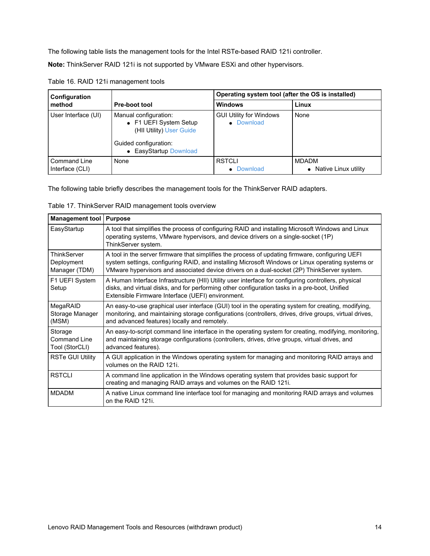The following table lists the management tools for the Intel RSTe-based RAID 121i controller.

**Note:** ThinkServer RAID 121i is not supported by VMware ESXi and other hypervisors.

| Configuration                          |                                                                                                                                | Operating system tool (after the OS is installed) |                                        |  |
|----------------------------------------|--------------------------------------------------------------------------------------------------------------------------------|---------------------------------------------------|----------------------------------------|--|
| method                                 | <b>Pre-boot tool</b>                                                                                                           | <b>Windows</b>                                    | Linux                                  |  |
| User Interface (UI)                    | Manual configuration:<br>• F1 UEFI System Setup<br>(HII Utility) User Guide<br>Guided configuration:<br>• EasyStartup Download | <b>GUI Utility for Windows</b><br>• Download      | None                                   |  |
| <b>Command Line</b><br>Interface (CLI) | None                                                                                                                           | <b>RSTCLI</b><br>• Download                       | <b>MDADM</b><br>• Native Linux utility |  |

Table 16. RAID 121i management tools

The following table briefly describes the management tools for the ThinkServer RAID adapters.

| Table 17. ThinkServer RAID management tools overview |  |  |  |  |
|------------------------------------------------------|--|--|--|--|
|------------------------------------------------------|--|--|--|--|

| <b>Management tool</b>                     | <b>Purpose</b>                                                                                                                                                                                                                                                                                      |
|--------------------------------------------|-----------------------------------------------------------------------------------------------------------------------------------------------------------------------------------------------------------------------------------------------------------------------------------------------------|
| EasyStartup                                | A tool that simplifies the process of configuring RAID and installing Microsoft Windows and Linux<br>operating systems, VMware hypervisors, and device drivers on a single-socket (1P)<br>ThinkServer system.                                                                                       |
| ThinkServer<br>Deployment<br>Manager (TDM) | A tool in the server firmware that simplifies the process of updating firmware, configuring UEFI<br>system settings, configuring RAID, and installing Microsoft Windows or Linux operating systems or<br>VMware hypervisors and associated device drivers on a dual-socket (2P) ThinkServer system. |
| F1 UEFI System<br>Setup                    | A Human Interface Infrastructure (HII) Utility user interface for configuring controllers, physical<br>disks, and virtual disks, and for performing other configuration tasks in a pre-boot, Unified<br>Extensible Firmware Interface (UEFI) environment.                                           |
| MegaRAID<br>Storage Manager<br>(MSM)       | An easy-to-use graphical user interface (GUI) tool in the operating system for creating, modifying,<br>monitoring, and maintaining storage configurations (controllers, drives, drive groups, virtual drives,<br>and advanced features) locally and remotely.                                       |
| Storage<br>Command Line<br>Tool (StorCLI)  | An easy-to-script command line interface in the operating system for creating, modifying, monitoring,<br>and maintaining storage configurations (controllers, drives, drive groups, virtual drives, and<br>advanced features).                                                                      |
| <b>RSTe GUI Utility</b>                    | A GUI application in the Windows operating system for managing and monitoring RAID arrays and<br>volumes on the RAID 121i.                                                                                                                                                                          |
| <b>RSTCLI</b>                              | A command line application in the Windows operating system that provides basic support for<br>creating and managing RAID arrays and volumes on the RAID 121i.                                                                                                                                       |
| <b>MDADM</b>                               | A native Linux command line interface tool for managing and monitoring RAID arrays and volumes<br>on the RAID 121i.                                                                                                                                                                                 |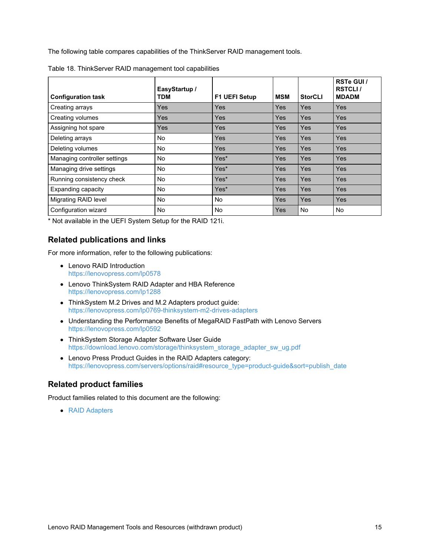The following table compares capabilities of the ThinkServer RAID management tools.

| <b>Configuration task</b>    | EasyStartup /<br>TDM | <b>F1 UEFI Setup</b> | <b>MSM</b> | <b>StorCLI</b> | RSTe GUI /<br><b>RSTCLI/</b><br><b>MDADM</b> |
|------------------------------|----------------------|----------------------|------------|----------------|----------------------------------------------|
| Creating arrays              | Yes                  | Yes                  | <b>Yes</b> | <b>Yes</b>     | <b>Yes</b>                                   |
| Creating volumes             | Yes                  | Yes                  | Yes        | Yes            | Yes                                          |
| Assigning hot spare          | Yes                  | Yes                  | <b>Yes</b> | Yes            | <b>Yes</b>                                   |
| Deleting arrays              | No                   | Yes                  | Yes        | <b>Yes</b>     | Yes                                          |
| Deleting volumes             | No                   | Yes                  | Yes        | Yes            | Yes                                          |
| Managing controller settings | No                   | Yes*                 | Yes        | <b>Yes</b>     | Yes                                          |
| Managing drive settings      | No                   | Yes*                 | <b>Yes</b> | Yes            | Yes                                          |
| Running consistency check    | No                   | Yes*                 | Yes        | Yes            | Yes                                          |
| <b>Expanding capacity</b>    | No                   | Yes*                 | Yes        | Yes            | Yes                                          |
| <b>Migrating RAID level</b>  | No                   | <b>No</b>            | <b>Yes</b> | Yes            | <b>Yes</b>                                   |
| Configuration wizard         | No                   | No.                  | Yes        | No.            | No.                                          |

| Table 18. ThinkServer RAID management tool capabilities |  |
|---------------------------------------------------------|--|
|                                                         |  |

\* Not available in the UEFI System Setup for the RAID 121i.

#### **Related publications and links**

For more information, refer to the following publications:

- Lenovo RAID Introduction <https://lenovopress.com/lp0578>
- Lenovo ThinkSystem RAID Adapter and HBA Reference <https://lenovopress.com/lp1288>
- ThinkSystem M.2 Drives and M.2 Adapters product guide: <https://lenovopress.com/lp0769-thinksystem-m2-drives-adapters>
- Understanding the Performance Benefits of MegaRAID FastPath with Lenovo Servers <https://lenovopress.com/lp0592>
- ThinkSystem Storage Adapter Software User Guide [https://download.lenovo.com/storage/thinksystem\\_storage\\_adapter\\_sw\\_ug.pdf](https://download.lenovo.com/storage/thinksystem_storage_adapter_sw_ug.pdf)
- Lenovo Press Product Guides in the RAID Adapters category: [https://lenovopress.com/servers/options/raid#resource\\_type=product-guide&sort=publish\\_date](https://lenovopress.com/servers/options/raid#resource_type=product-guide&sort=publish_date)

## **Related product families**

Product families related to this document are the following:

RAID [Adapters](https://lenovopress.com/servers/options/raid)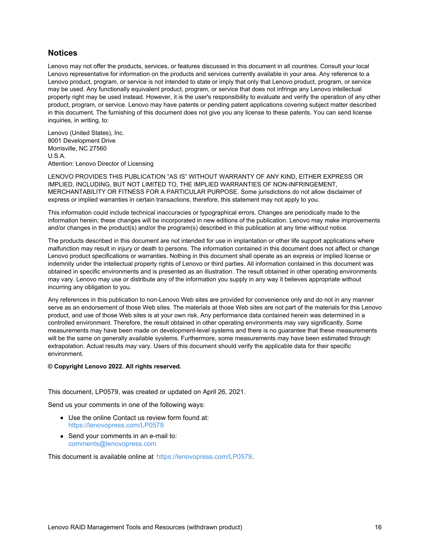## **Notices**

Lenovo may not offer the products, services, or features discussed in this document in all countries. Consult your local Lenovo representative for information on the products and services currently available in your area. Any reference to a Lenovo product, program, or service is not intended to state or imply that only that Lenovo product, program, or service may be used. Any functionally equivalent product, program, or service that does not infringe any Lenovo intellectual property right may be used instead. However, it is the user's responsibility to evaluate and verify the operation of any other product, program, or service. Lenovo may have patents or pending patent applications covering subject matter described in this document. The furnishing of this document does not give you any license to these patents. You can send license inquiries, in writing, to:

Lenovo (United States), Inc. 8001 Development Drive Morrisville, NC 27560 U.S.A. Attention: Lenovo Director of Licensing

LENOVO PROVIDES THIS PUBLICATION "AS IS" WITHOUT WARRANTY OF ANY KIND, EITHER EXPRESS OR IMPLIED, INCLUDING, BUT NOT LIMITED TO, THE IMPLIED WARRANTIES OF NON-INFRINGEMENT, MERCHANTABILITY OR FITNESS FOR A PARTICULAR PURPOSE. Some jurisdictions do not allow disclaimer of express or implied warranties in certain transactions, therefore, this statement may not apply to you.

This information could include technical inaccuracies or typographical errors. Changes are periodically made to the information herein; these changes will be incorporated in new editions of the publication. Lenovo may make improvements and/or changes in the product(s) and/or the program(s) described in this publication at any time without notice.

The products described in this document are not intended for use in implantation or other life support applications where malfunction may result in injury or death to persons. The information contained in this document does not affect or change Lenovo product specifications or warranties. Nothing in this document shall operate as an express or implied license or indemnity under the intellectual property rights of Lenovo or third parties. All information contained in this document was obtained in specific environments and is presented as an illustration. The result obtained in other operating environments may vary. Lenovo may use or distribute any of the information you supply in any way it believes appropriate without incurring any obligation to you.

Any references in this publication to non-Lenovo Web sites are provided for convenience only and do not in any manner serve as an endorsement of those Web sites. The materials at those Web sites are not part of the materials for this Lenovo product, and use of those Web sites is at your own risk. Any performance data contained herein was determined in a controlled environment. Therefore, the result obtained in other operating environments may vary significantly. Some measurements may have been made on development-level systems and there is no guarantee that these measurements will be the same on generally available systems. Furthermore, some measurements may have been estimated through extrapolation. Actual results may vary. Users of this document should verify the applicable data for their specific environment.

#### **© Copyright Lenovo 2022. All rights reserved.**

This document, LP0579, was created or updated on April 26, 2021.

Send us your comments in one of the following ways:

- Use the online Contact us review form found at: <https://lenovopress.com/LP0579>
- Send your comments in an e-mail to: [comments@lenovopress.com](mailto:comments@lenovopress.com?subject=Feedback for LP0579)

This document is available online at <https://lenovopress.com/LP0579>.